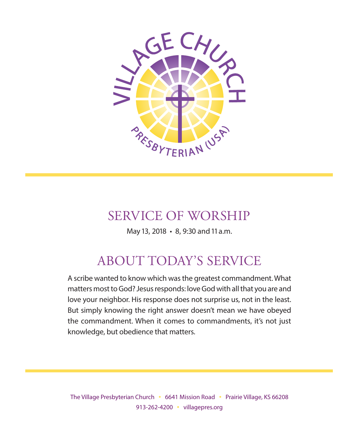

## SERVICE OF WORSHIP

May 13, 2018 • 8, 9:30 and 11 a.m.

# ABOUT TODAY'S SERVICE

A scribe wanted to know which was the greatest commandment. What matters most to God? Jesus responds: love God with all that you are and love your neighbor. His response does not surprise us, not in the least. But simply knowing the right answer doesn't mean we have obeyed the commandment. When it comes to commandments, it's not just knowledge, but obedience that matters.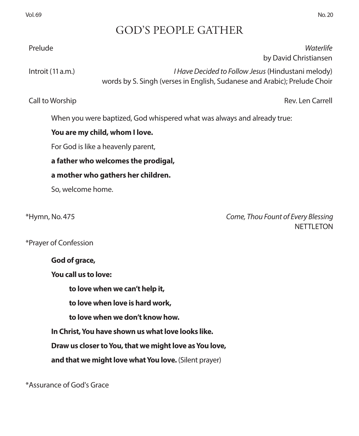## GOD'S PEOPLE GATHER

Prelude *Waterlife* 

 Introit(11 a.m.) *I Have Decided to Follow Jesus* (Hindustani melody) words by S. Singh (verses in English, Sudanese and Arabic); Prelude Choir

Call to Worship Rev. Len Carrell

by David Christiansen

When you were baptized, God whispered what was always and already true:

### **You are my child, whom I love.**

For God is like a heavenly parent,

### **a father who welcomes the prodigal,**

### **a mother who gathers her children.**

So, welcome home.

\*Hymn, No. 475 *Come, Thou Fount of Every Blessing* NETTLETON

\*Prayer of Confession

**God of grace,**

**You call us to love:** 

**to love when we can't help it,** 

**to love when love is hard work,**

**to love when we don't know how.**

**In Christ, You have shown us what love looks like.**

**Draw us closer to You, that we might love as You love,**

**and that we might love what You love.** (Silent prayer)

\*Assurance of God's Grace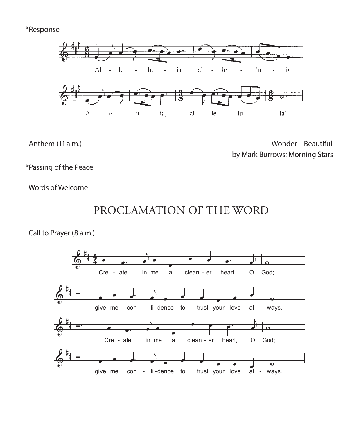#### \*Response



Anthem (11 a.m.) Solution Contract Contract Contract Contract Contract Contract Contract Contract Contract Contract Contract Contract Contract Contract Contract Contract Contract Contract Contract Contract Contract Contrac by Mark Burrows; Morning Stars

\*Passing of the Peace

Words of Welcome



Call to Prayer (8 a.m.)

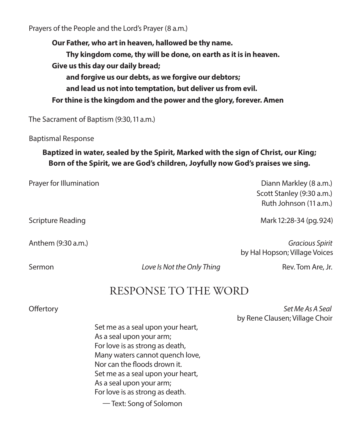Prayers of the People and the Lord's Prayer (8 a.m.)

**Our Father, who art in heaven, hallowed be thy name. Thy kingdom come, thy will be done, on earth as it is in heaven. Give us this day our daily bread; and forgive us our debts, as we forgive our debtors; and lead us not into temptation, but deliver us from evil. For thine is the kingdom and the power and the glory, forever. Amen**

The Sacrament of Baptism (9:30, 11 a.m.)

Baptismal Response

### **Baptized in water, sealed by the Spirit, Marked with the sign of Christ, our King; Born of the Spirit, we are God's children, Joyfully now God's praises we sing.**

| Prayer for Illumination  | Diann Markley (8 a.m.)<br>Scott Stanley (9:30 a.m.)<br>Ruth Johnson (11 a.m.) |
|--------------------------|-------------------------------------------------------------------------------|
| <b>Scripture Reading</b> | Mark 12:28-34 (pg. 924)                                                       |
| Anthem (9:30 a.m.)       | Gracious Spirit<br>by Hal Hopson; Village Voices                              |

Sermon *Love Is Not the Only Thing* Rev. Tom Are, Jr.

## RESPONSE TO THE WORD

 Offertory *Set Me As A Seal* by Rene Clausen; Village Choir

Set me as a seal upon your heart, As a seal upon your arm; For love is as strong as death, Many waters cannot quench love, Nor can the floods drown it. Set me as a seal upon your heart, As a seal upon your arm; For love is as strong as death.

— Text: Song of Solomon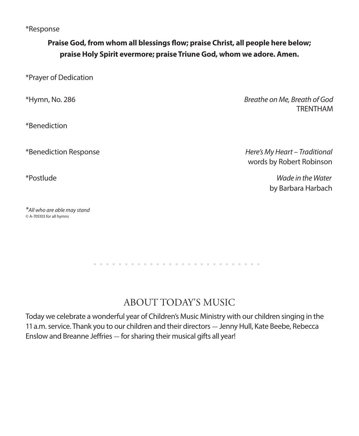\*Response

### **Praise God, from whom all blessings flow; praise Christ, all people here below; praise Holy Spirit evermore; praise Triune God, whom we adore. Amen.**

\*Prayer of Dedication

\*Benediction

*\*All who are able may stand* © A-705103 for all hymns

\*Hymn, No. 286 *Breathe on Me, Breath of God* TRENTHAM

\*Benediction Response *Here's My Heart – Traditional* words by Robert Robinson

\*Postlude *Wade in the Water* by Barbara Harbach

# ABOUT TODAY'S MUSIC

Today we celebrate a wonderful year of Children's Music Ministry with our children singing in the 11 a.m. service. Thank you to our children and their directors - Jenny Hull, Kate Beebe, Rebecca Enslow and Breanne Jeffries - for sharing their musical gifts all year!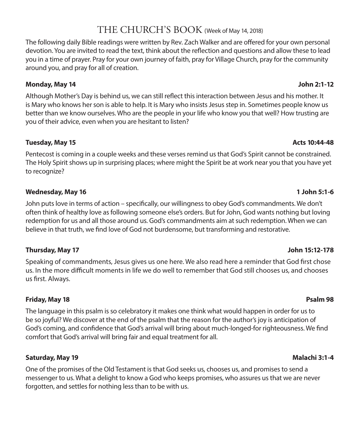## THE CHURCH'S BOOK (Week of May 14, 2018)

The following daily Bible readings were written by Rev. Zach Walker and are offered for your own personal devotion. You are invited to read the text, think about the reflection and questions and allow these to lead you in a time of prayer. Pray for your own journey of faith, pray for Village Church, pray for the community around you, and pray for all of creation.

#### **Monday, May 14 John 2:1-12**

Although Mother's Day is behind us, we can still reflect this interaction between Jesus and his mother. It is Mary who knows her son is able to help. It is Mary who insists Jesus step in. Sometimes people know us better than we know ourselves. Who are the people in your life who know you that well? How trusting are you of their advice, even when you are hesitant to listen?

#### **Tuesday, May 15 Acts 10:44-48**

Pentecost is coming in a couple weeks and these verses remind us that God's Spirit cannot be constrained. The Holy Spirit shows up in surprising places; where might the Spirit be at work near you that you have yet to recognize?

#### **Wednesday, May 16 1 John 5:1-6**

John puts love in terms of action – specifically, our willingness to obey God's commandments. We don't often think of healthy love as following someone else's orders. But for John, God wants nothing but loving redemption for us and all those around us. God's commandments aim at such redemption. When we can believe in that truth, we find love of God not burdensome, but transforming and restorative.

#### **Thursday, May 17 John 15:12-178**

Speaking of commandments, Jesus gives us one here. We also read here a reminder that God first chose us. In the more difficult moments in life we do well to remember that God still chooses us, and chooses us first. Always.

#### **Friday, May 18 Psalm 98**

The language in this psalm is so celebratory it makes one think what would happen in order for us to be so joyful? We discover at the end of the psalm that the reason for the author's joy is anticipation of God's coming, and confidence that God's arrival will bring about much-longed-for righteousness. We find comfort that God's arrival will bring fair and equal treatment for all.

#### **Saturday, May 19 Malachi 3:1-4**

One of the promises of the Old Testament is that God seeks us, chooses us, and promises to send a messenger to us. What a delight to know a God who keeps promises, who assures us that we are never forgotten, and settles for nothing less than to be with us.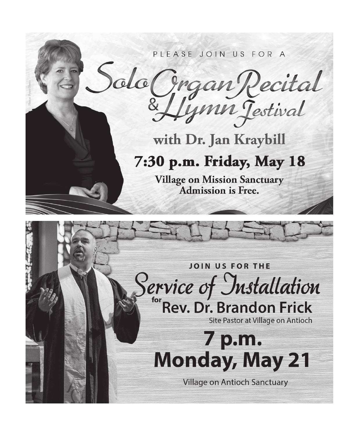

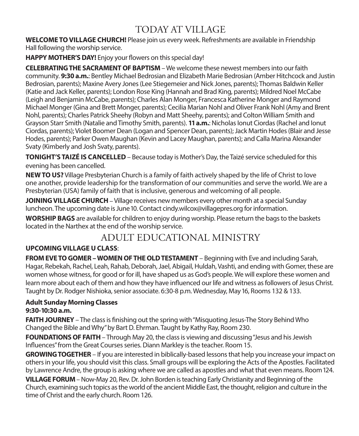## TODAY AT VILLAGE

**WELCOME TO VILLAGE CHURCH!** Please join us every week. Refreshments are available in Friendship Hall following the worship service.

**HAPPY MOTHER'S DAY!** Enjoy your flowers on this special day!

**CELEBRATING THE SACRAMENT OF BAPTISM** – We welcome these newest members into our faith community. **9:30 a.m.**: Bentley Michael Bedrosian and Elizabeth Marie Bedrosian (Amber Hitchcock and Justin Bedrosian, parents); Maxine Avery Jones (Lee Stiegemeier and Nick Jones, parents); Thomas Baldwin Keller (Katie and Jack Keller, parents); London Rose King (Hannah and Brad King, parents); Mildred Noel McCabe (Leigh and Benjamin McCabe, parents); Charles Alan Monger, Francesca Katherine Monger and Raymond Michael Monger (Gina and Brett Monger, parents); Cecilia Marian Nohl and Oliver Frank Nohl (Amy and Brent Nohl, parents); Charles Patrick Sheehy (Robyn and Matt Sheehy, parents); and Colton William Smith and Grayson Starr Smith (Natalie and Timothy Smith, parents). **11 a.m.**: Nicholas Ionut Ciordas (Rachel and Ionut Ciordas, parents); Violet Boomer Dean (Logan and Spencer Dean, parents); Jack Martin Hodes (Blair and Jesse Hodes, parents); Parker Owen Maughan (Kevin and Lacey Maughan, parents); and Calla Marina Alexander Svaty (Kimberly and Josh Svaty, parents).

**TONIGHT'S TAIZÉ IS CANCELLED** – Because today is Mother's Day, the Taizé service scheduled for this evening has been cancelled.

**NEW TO US?** Village Presbyterian Church is a family of faith actively shaped by the life of Christ to love one another, provide leadership for the transformation of our communities and serve the world. We are a Presbyterian (USA) family of faith that is inclusive, generous and welcoming of all people.

**JOINING VILLAGE CHURCH** – Village receives new members every other month at a special Sunday luncheon. The upcoming date is June 10. Contact cindy.wilcox@villagepres.org for information.

**WORSHIP BAGS** are available for children to enjoy during worship. Please return the bags to the baskets located in the Narthex at the end of the worship service.

## ADULT EDUCATIONAL MINISTRY

### **UPCOMING VILLAGE U CLASS**:

**FROM EVE TO GOMER – WOMEN OF THE OLD TESTAMENT** – Beginning with Eve and including Sarah, Hagar, Rebekah, Rachel, Leah, Rahab, Deborah, Jael, Abigail, Huldah, Vashti, and ending with Gomer, these are women whose witness, for good or for ill, have shaped us as God's people. We will explore these women and learn more about each of them and how they have influenced our life and witness as followers of Jesus Christ. Taught by Dr. Rodger Nishioka, senior associate. 6:30-8 p.m. Wednesday, May 16, Rooms 132 & 133.

#### **Adult Sunday Morning Classes 9:30-10:30 a.m.**

**FAITH JOURNEY** – The class is finishing out the spring with "Misquoting Jesus-The Story Behind Who Changed the Bible and Why" by Bart D. Ehrman. Taught by Kathy Ray, Room 230.

**FOUNDATIONS OF FAITH** – Through May 20, the class is viewing and discussing "Jesus and his Jewish Influences" from the Great Courses series. Diann Markley is the teacher. Room 15.

**GROWING TOGETHER** – If you are interested in biblically-based lessons that help you increase your impact on others in your life, you should visit this class. Small groups will be exploring the Acts of the Apostles. Facilitated by Lawrence Andre, the group is asking where we are called as apostles and what that even means. Room 124.

**VILLAGE FORUM** – Now-May 20, Rev. Dr. John Borden is teaching Early Christianity and Beginning of the Church, examining such topics as the world of the ancient Middle East, the thought, religion and culture in the time of Christ and the early church. Room 126.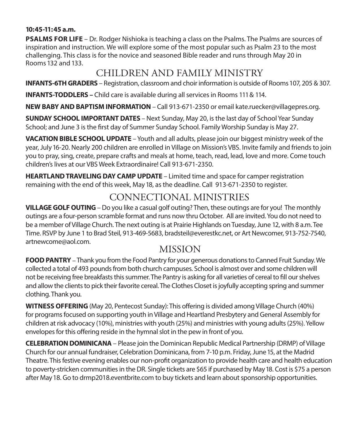#### **10:45-11:45 a.m.**

**PSALMS FOR LIFE** – Dr. Rodger Nishioka is teaching a class on the Psalms. The Psalms are sources of inspiration and instruction. We will explore some of the most popular such as Psalm 23 to the most challenging. This class is for the novice and seasoned Bible reader and runs through May 20 in Rooms 132 and 133.

## CHILDREN AND FAMILY MINISTRY

**INFANTS-6TH GRADERS** – Registration, classroom and choir information is outside of Rooms 107, 205 & 307.

**INFANTS-TODDLERS –** Child care is available during all services in Rooms 111 & 114.

**NEW BABY AND BAPTISM INFORMATION** – Call 913-671-2350 or email kate.ruecker@villagepres.org.

**SUNDAY SCHOOL IMPORTANT DATES** – Next Sunday, May 20, is the last day of School Year Sunday School; and June 3 is the first day of Summer Sunday School. Family Worship Sunday is May 27.

**VACATION BIBLE SCHOOL UPDATE** – Youth and all adults, please join our biggest ministry week of the year, July 16-20. Nearly 200 children are enrolled in Village on Mission's VBS. Invite family and friends to join you to pray, sing, create, prepare crafts and meals at home, teach, read, lead, love and more. Come touch children's lives at our VBS Week Extraordinaire! Call 913-671-2350.

**HEARTLAND TRAVELING DAY CAMP UPDATE** – Limited time and space for camper registration remaining with the end of this week, May 18, as the deadline. Call 913-671-2350 to register.

## CONNECTIONAL MINISTRIES

**VILLAGE GOLF OUTING** – Do you like a casual golf outing? Then, these outings are for you! The monthly outings are a four-person scramble format and runs now thru October. All are invited. You do not need to be a member of Village Church. The next outing is at Prairie Highlands on Tuesday, June 12, with 8 a.m. Tee Time. RSVP by June 1 to Brad Steil, 913-469-5683, bradsteil@everestkc.net, or Art Newcomer, 913-752-7540, artnewcome@aol.com.

## MISSION

**FOOD PANTRY** – Thank you from the Food Pantry for your generous donations to Canned Fruit Sunday. We collected a total of 493 pounds from both church campuses. School is almost over and some children will not be receiving free breakfasts this summer. The Pantry is asking for all varieties of cereal to fill our shelves and allow the clients to pick their favorite cereal. The Clothes Closet is joyfully accepting spring and summer clothing. Thank you.

**WITNESS OFFERING** (May 20, Pentecost Sunday): This offering is divided among Village Church (40%) for programs focused on supporting youth in Village and Heartland Presbytery and General Assembly for children at risk advocacy (10%), ministries with youth (25%) and ministries with young adults (25%). Yellow envelopes for this offering reside in the hymnal slot in the pew in front of you.

**CELEBRATION DOMINICANA** – Please join the Dominican Republic Medical Partnership (DRMP) of Village Church for our annual fundraiser, Celebration Dominicana, from 7-10 p.m. Friday, June 15, at the Madrid Theatre. This festive evening enables our non-profit organization to provide health care and health education to poverty-stricken communities in the DR. Single tickets are \$65 if purchased by May 18. Cost is \$75 a person after May 18. Go to drmp2018.eventbrite.com to buy tickets and learn about sponsorship opportunities.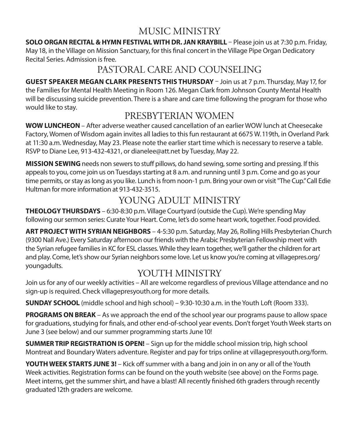## MUSIC MINISTRY

**SOLO ORGAN RECITAL & HYMN FESTIVAL WITH DR. JAN KRAYBILL** – Please join us at 7:30 p.m. Friday, May 18, in the Village on Mission Sanctuary, for this final concert in the Village Pipe Organ Dedicatory Recital Series. Admission is free.

## PASTORAL CARE AND COUNSELING

**GUEST SPEAKER MEGAN CLARK PRESENTS THIS THURSDAY** – Join us at 7 p.m. Thursday, May 17, for the Families for Mental Health Meeting in Room 126. Megan Clark from Johnson County Mental Health will be discussing suicide prevention. There is a share and care time following the program for those who would like to stay.

## PRESBYTERIAN WOMEN

**WOW LUNCHEON** – After adverse weather caused cancellation of an earlier WOW lunch at Cheesecake Factory, Women of Wisdom again invites all ladies to this fun restaurant at 6675 W. 119th, in Overland Park at 11:30 a.m. Wednesday, May 23. Please note the earlier start time which is necessary to reserve a table. RSVP to Diane Lee, 913-432-4321, or dianelee@att.net by Tuesday, May 22.

**MISSION SEWING** needs non sewers to stuff pillows, do hand sewing, some sorting and pressing. If this appeals to you, come join us on Tuesdays starting at 8 a.m. and running until 3 p.m. Come and go as your time permits, or stay as long as you like. Lunch is from noon-1 p.m. Bring your own or visit "The Cup." Call Edie Hultman for more information at 913-432-3515.

## YOUNG ADULT MINISTRY

**THEOLOGY THURSDAYS** – 6:30-8:30 p.m. Village Courtyard (outside the Cup). We're spending May following our sermon series: Curate Your Heart. Come, let's do some heart work, together. Food provided.

**ART PROJECT WITH SYRIAN NEIGHBORS** – 4-5:30 p.m. Saturday, May 26, Rolling Hills Presbyterian Church (9300 Nall Ave.) Every Saturday afternoon our friends with the Arabic Presbyterian Fellowship meet with the Syrian refugee families in KC for ESL classes. While they learn together, we'll gather the children for art and play. Come, let's show our Syrian neighbors some love. Let us know you're coming at villagepres.org/ youngadults.

## YOUTH MINISTRY

Join us for any of our weekly activities – All are welcome regardless of previous Village attendance and no sign-up is required. Check villagepresyouth.org for more details.

**SUNDAY SCHOOL** (middle school and high school) – 9:30-10:30 a.m. in the Youth Loft (Room 333).

**PROGRAMS ON BREAK** – As we approach the end of the school year our programs pause to allow space for graduations, studying for finals, and other end-of-school year events. Don't forget Youth Week starts on June 3 (see below) and our summer programming starts June 10!

**SUMMER TRIP REGISTRATION IS OPEN!** – Sign up for the middle school mission trip, high school Montreat and Boundary Waters adventure. Register and pay for trips online at villagepresyouth.org/form.

**YOUTH WEEK STARTS JUNE 3!** – Kick off summer with a bang and join in on any or all of the Youth Week activities. Registration forms can be found on the youth website (see above) on the Forms page. Meet interns, get the summer shirt, and have a blast! All recently finished 6th graders through recently graduated 12th graders are welcome.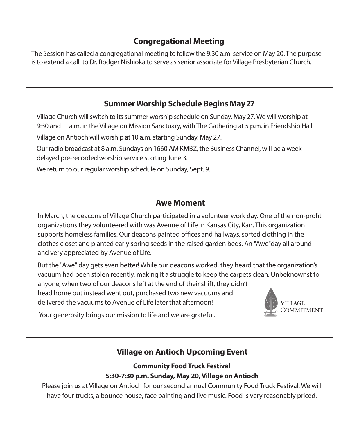### **Congregational Meeting**

The Session has called a congregational meeting to follow the 9:30 a.m. service on May 20. The purpose is to extend a call to Dr. Rodger Nishioka to serve as senior associate for Village Presbyterian Church.

## **Summer Worship Schedule Begins May 27**

Village Church will switch to its summer worship schedule on Sunday, May 27. We will worship at 9:30 and 11 a.m. in the Village on Mission Sanctuary, with The Gathering at 5 p.m. in Friendship Hall.

Village on Antioch will worship at 10 a.m. starting Sunday, May 27.

Our radio broadcast at 8 a.m. Sundays on 1660 AM KMBZ, the Business Channel, will be a week delayed pre-recorded worship service starting June 3.

We return to our regular worship schedule on Sunday, Sept. 9.

#### **Awe Moment**

In March, the deacons of Village Church participated in a volunteer work day. One of the non-profit organizations they volunteered with was Avenue of Life in Kansas City, Kan. This organization supports homeless families. Our deacons painted offices and hallways, sorted clothing in the clothes closet and planted early spring seeds in the raised garden beds. An "Awe"day all around and very appreciated by Avenue of Life.

VILL AGE But the "Awe" day gets even better! While our deacons worked, they heard that the organization's vacuum had been stolen recently, making it a struggle to keep the carpets clean. Unbeknownst to anyone, when two of our deacons left at the end of their shift, they didn't head home but instead went out, purchased two new vacuums and delivered the vacuums to Avenue of Life later that afternoon!



Your generosity brings our mission to life and we are grateful.

## **Village on Antioch Upcoming Event**

#### **Community Food Truck Festival 5:30-7:30 p.m. Sunday, May 20, Village on Antioch**

Please join us at Village on Antioch for our second annual Community Food Truck Festival. We will have four trucks, a bounce house, face painting and live music. Food is very reasonably priced.